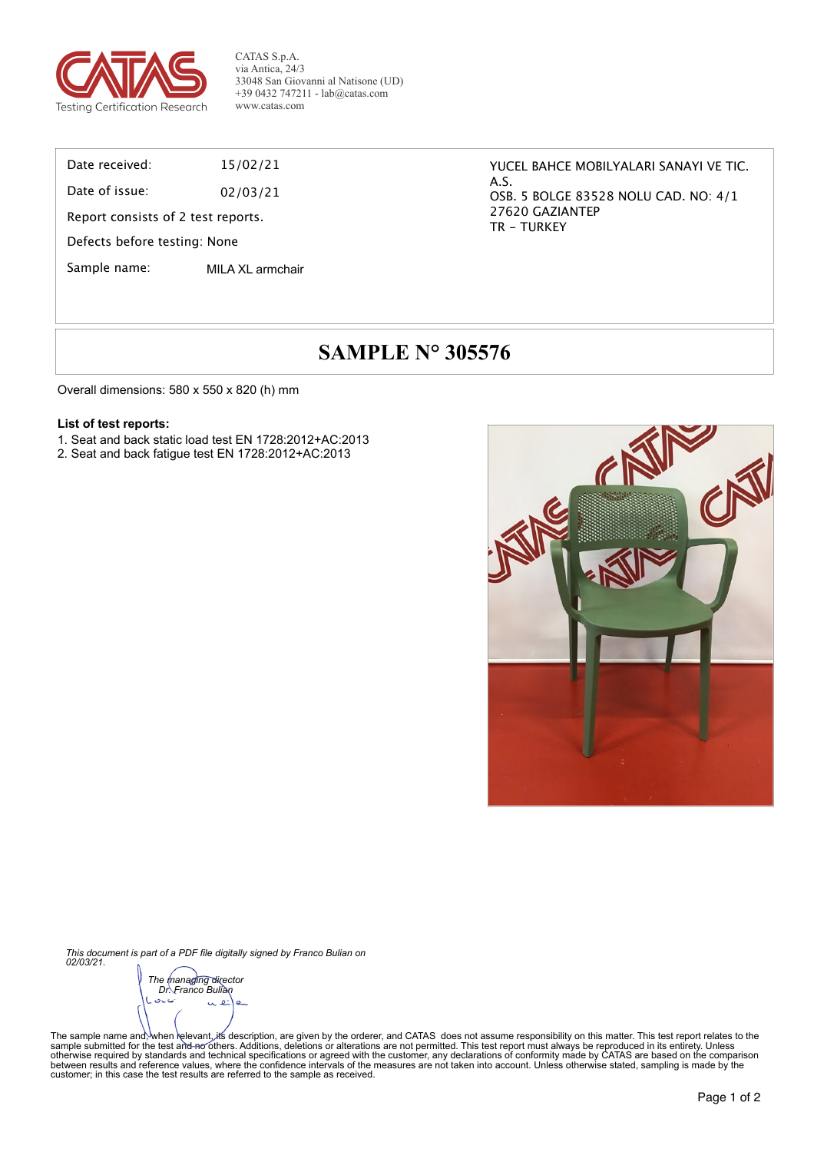

CATAS S.p.A. via Antica, 24/3 33048 San Giovanni al Natisone (UD) +39 0432 747211 - lab@catas.com www.catas.com

Date received: 15/02/21

Date of issue: 02/03/21

Report consists of 2 test reports.

Defects before testing: None

Sample name: MILA XL armchair

YUCEL BAHCE MOBILYALARI SANAYI VE TIC. A.S. OSB. 5 BOLGE 83528 NOLU CAD. NO: 4/1 27620 GAZIANTEP TR - TURKEY

# **SAMPLE N° 305576**

Overall dimensions: 580 x 550 x 820 (h) mm

#### **List of test reports:**

- 1. Seat and back static load test EN 1728:2012+AC:2013
- 2. Seat and back fatigue test EN 1728:2012+AC:2013



*This document is part of a PDF file digitally signed by Franco Bulian on 02/03/21.*

*The managing director Dr. Franco Bulian*متازق é  $\alpha$ 

The sample name and;<sup>∖</sup>when ielevant, its description, are given by the orderer, and CATAS does not assume responsibility on this matter. This test report relates to the<br>sample submitted for the test and fechnical specif between results and reference values, where the confidence intervals of the measures are not taken into account. Unless otherwise stated, sampling is made by the<br>customer; in this case the test results are referred to the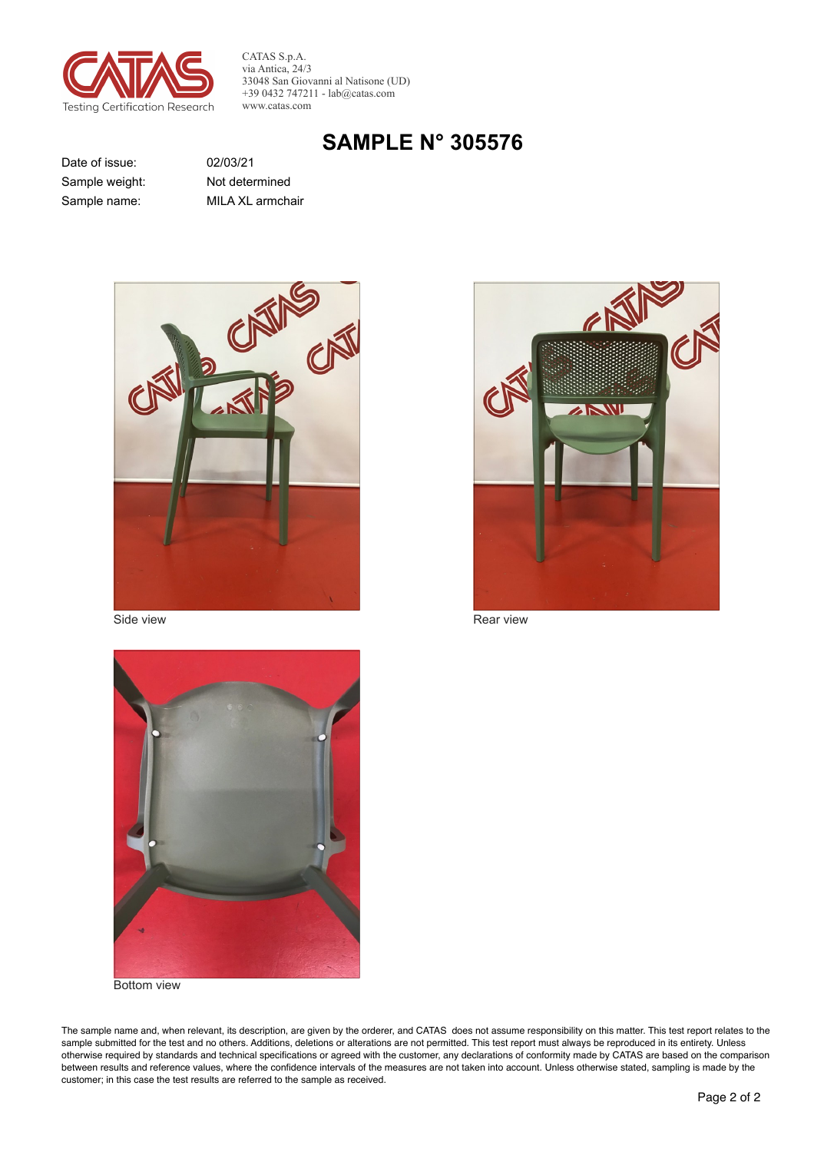

CATAS S.p.A. via Antica, 24/3 33048 San Giovanni al Natisone (UD)  $+390432747211 - lab@catas.com$ www.catas.com

# **SAMPLE N° 305576**

Date of issue: Sample weight: Sample name:

02/03/21 Not determined MILA XL armchair



Side view



Rear view



Bottom view

The sample name and, when relevant, its description, are given by the orderer, and CATAS does not assume responsibility on this matter. This test report relates to the sample submitted for the test and no others. Additions, deletions or alterations are not permitted. This test report must always be reproduced in its entirety. Unless otherwise required by standards and technical specifications or agreed with the customer, any declarations of conformity made by CATAS are based on the comparison between results and reference values, where the confidence intervals of the measures are not taken into account. Unless otherwise stated, sampling is made by the customer; in this case the test results are referred to the sample as received.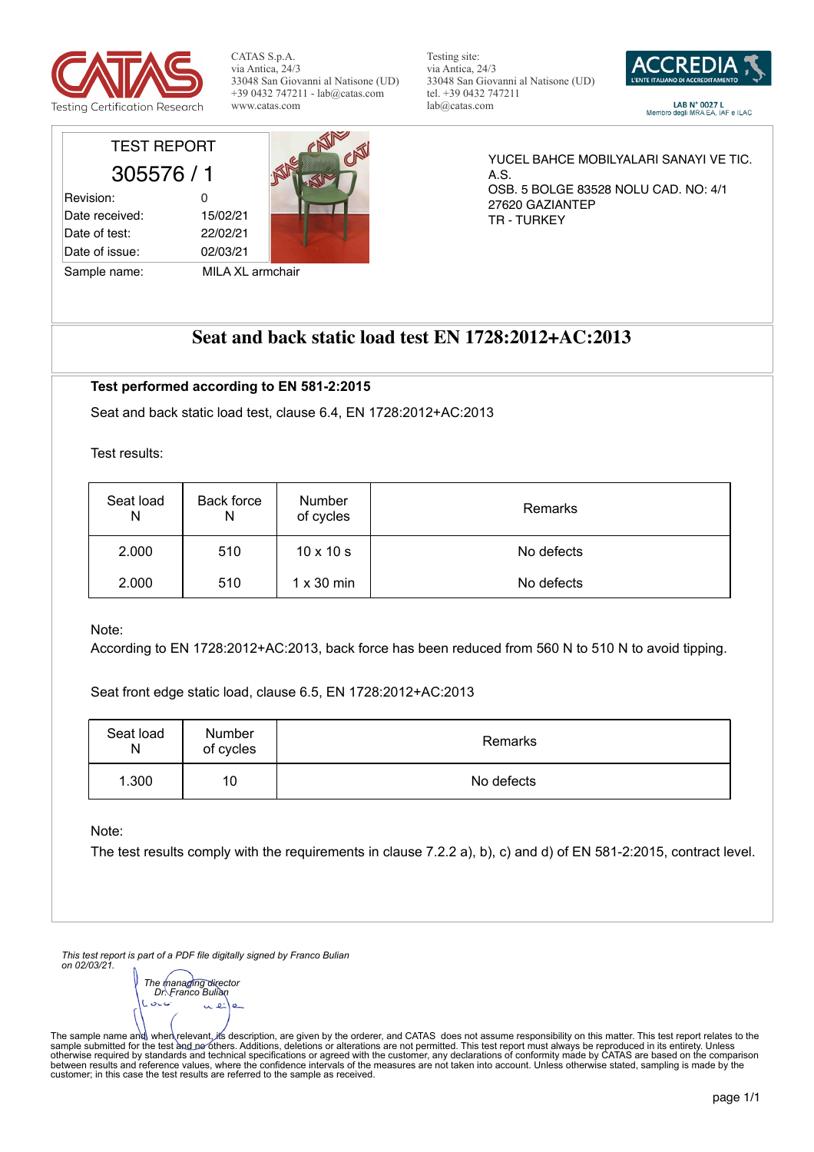

CATAS S.p.A. via Antica, 24/3 33048 San Giovanni al Natisone (UD) +39 0432 747211 - lab@catas.com www.catas.com

Testing site: via Antica, 24/3 33048 San Giovanni al Natisone (UD) tel. +39 0432 747211 lab@catas.com



 $LAB\ N^\circ$  0027 L<br>Membro degli MRA EA, IAF e ILAC

## TEST REPORT 305576 / 1

| Revision:      | O        |
|----------------|----------|
| Date received: | 15/02/21 |
| Date of test:  | 22/02/21 |
| Date of issue: | 02/03/21 |



Sample name: MILA XL armchair

YUCEL BAHCE MOBILYALARI SANAYI VE TIC. A.S. OSB. 5 BOLGE 83528 NOLU CAD. NO: 4/1 27620 GAZIANTEP TR - TURKEY

## **Seat and back static load test EN 1728:2012+AC:2013**

#### **Test performed according to EN 581-2:2015**

Seat and back static load test, clause 6.4, EN 1728:2012+AC:2013

Test results:

| Seat load<br>N | Back force<br>N | <b>Number</b><br>of cycles | Remarks    |
|----------------|-----------------|----------------------------|------------|
| 2.000          | 510             | $10 \times 10 s$           | No defects |
| 2.000          | 510             | $1 \times 30$ min          | No defects |

Note:

According to EN 1728:2012+AC:2013, back force has been reduced from 560 N to 510 N to avoid tipping.

Seat front edge static load, clause 6.5, EN 1728:2012+AC:2013

| Seat load<br>N | Number<br>of cycles | Remarks    |
|----------------|---------------------|------------|
| 1.300          | 10                  | No defects |

Note:

The test results comply with the requirements in clause 7.2.2 a), b), c) and d) of EN 581-2:2015, contract level.

*This test report is part of a PDF file digitally signed by Franco Bulian on 02/03/21.*

*The managing director Dr. Franco Bulian* $\sim$ 

The sample name and∖ when∖relevant, ifs description, are given by the orderer, and CATAS does not assume responsibility on this matter. This test report relates to the<br>sample submitted for the test ànd ne^others. Additio between results and reference values, where the confidence intervals of the measures are not taken into account. Unless otherwise stated, sampling is made by the<br>customer; in this case the test results are referred to the